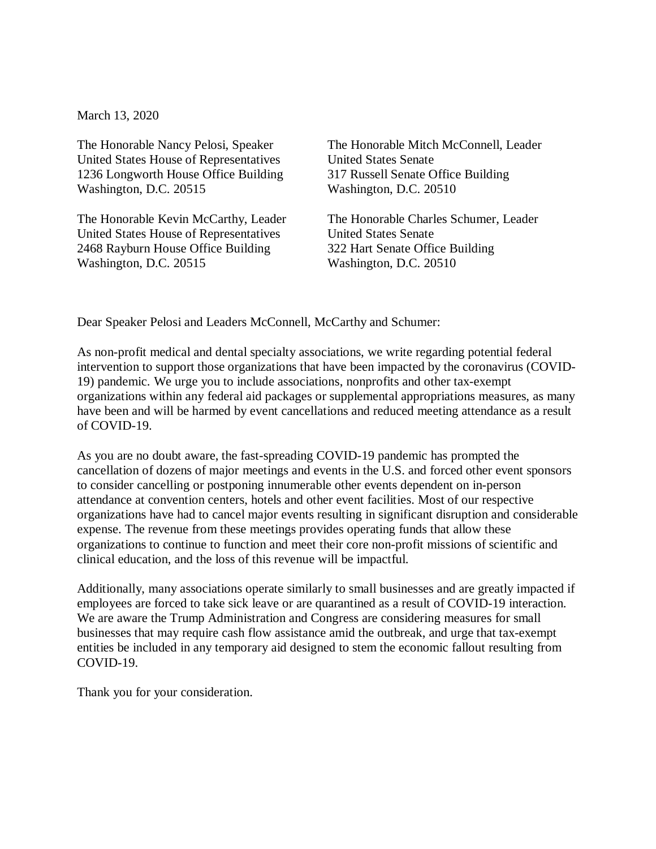March 13, 2020

The Honorable Nancy Pelosi, Speaker United States House of Representatives 1236 Longworth House Office Building Washington, D.C. 20515

The Honorable Kevin McCarthy, Leader United States House of Representatives 2468 Rayburn House Office Building Washington, D.C. 20515

The Honorable Mitch McConnell, Leader United States Senate 317 Russell Senate Office Building Washington, D.C. 20510

The Honorable Charles Schumer, Leader United States Senate 322 Hart Senate Office Building Washington, D.C. 20510

Dear Speaker Pelosi and Leaders McConnell, McCarthy and Schumer:

As non-profit medical and dental specialty associations, we write regarding potential federal intervention to support those organizations that have been impacted by the coronavirus (COVID-19) pandemic. We urge you to include associations, nonprofits and other tax-exempt organizations within any federal aid packages or supplemental appropriations measures, as many have been and will be harmed by event cancellations and reduced meeting attendance as a result of COVID-19.

As you are no doubt aware, the fast-spreading COVID-19 pandemic has prompted the cancellation of dozens of major meetings and events in the U.S. and forced other event sponsors to consider cancelling or postponing innumerable other events dependent on in-person attendance at convention centers, hotels and other event facilities. Most of our respective organizations have had to cancel major events resulting in significant disruption and considerable expense. The revenue from these meetings provides operating funds that allow these organizations to continue to function and meet their core non-profit missions of scientific and clinical education, and the loss of this revenue will be impactful.

Additionally, many associations operate similarly to small businesses and are greatly impacted if employees are forced to take sick leave or are quarantined as a result of COVID-19 interaction. We are aware the Trump Administration and Congress are considering measures for small businesses that may require cash flow assistance amid the outbreak, and urge that tax-exempt entities be included in any temporary aid designed to stem the economic fallout resulting from COVID-19.

Thank you for your consideration.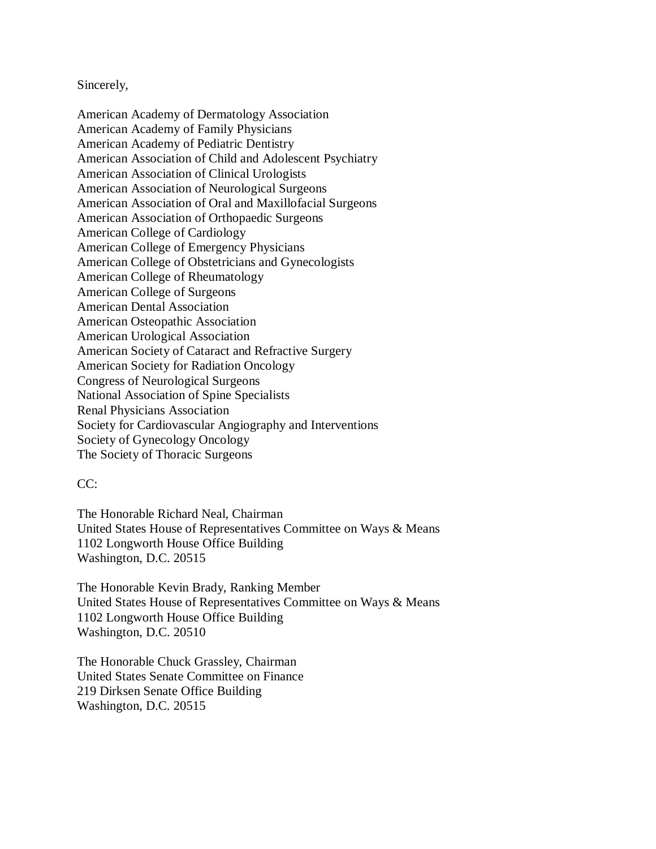## Sincerely,

American Academy of Dermatology Association American Academy of Family Physicians American Academy of Pediatric Dentistry American Association of Child and Adolescent Psychiatry American Association of Clinical Urologists American Association of Neurological Surgeons American Association of Oral and Maxillofacial Surgeons American Association of Orthopaedic Surgeons American College of Cardiology American College of Emergency Physicians American College of Obstetricians and Gynecologists American College of Rheumatology American College of Surgeons American Dental Association American Osteopathic Association American Urological Association American Society of Cataract and Refractive Surgery American Society for Radiation Oncology Congress of Neurological Surgeons National Association of Spine Specialists Renal Physicians Association Society for Cardiovascular Angiography and Interventions Society of Gynecology Oncology The Society of Thoracic Surgeons

## $CC<sup>2</sup>$

The Honorable Richard Neal, Chairman United States House of Representatives Committee on Ways & Means 1102 Longworth House Office Building Washington, D.C. 20515

The Honorable Kevin Brady, Ranking Member United States House of Representatives Committee on Ways & Means 1102 Longworth House Office Building Washington, D.C. 20510

The Honorable Chuck Grassley, Chairman United States Senate Committee on Finance 219 Dirksen Senate Office Building Washington, D.C. 20515